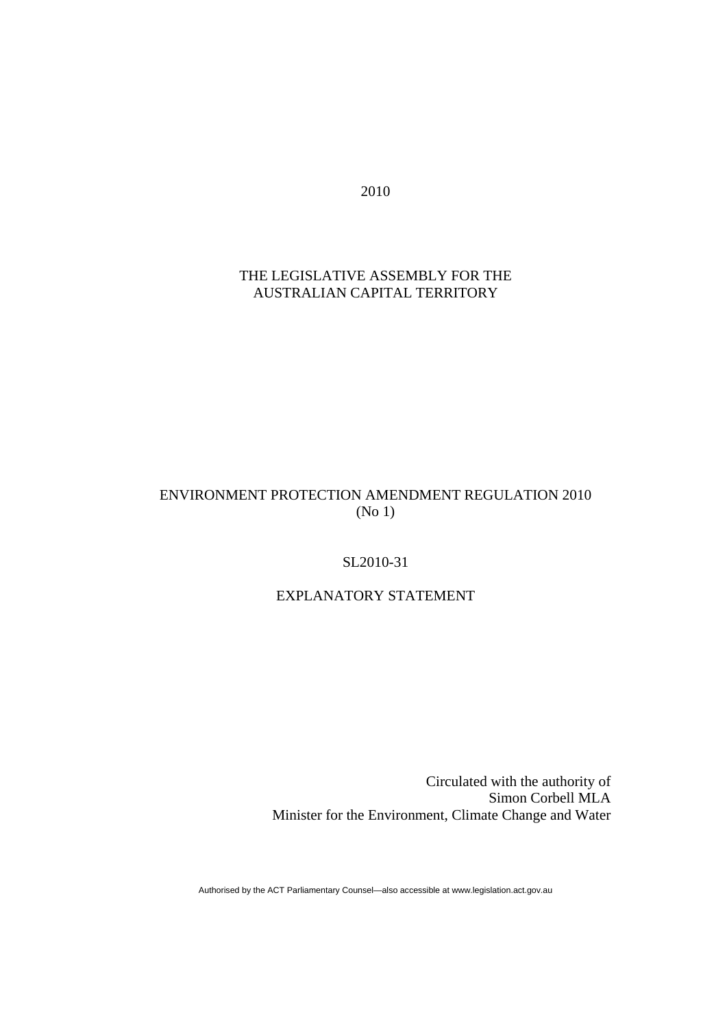2010

## THE LEGISLATIVE ASSEMBLY FOR THE AUSTRALIAN CAPITAL TERRITORY

# ENVIRONMENT PROTECTION AMENDMENT REGULATION 2010 (No 1)

### SL2010-31

# EXPLANATORY STATEMENT

Circulated with the authority of Simon Corbell MLA Minister for the Environment, Climate Change and Water

Authorised by the ACT Parliamentary Counsel—also accessible at www.legislation.act.gov.au